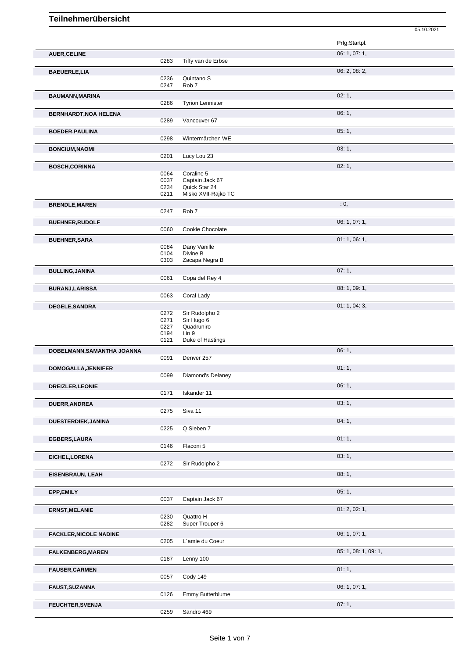|                               |              |                            |                      | 05.10.2021 |
|-------------------------------|--------------|----------------------------|----------------------|------------|
|                               |              |                            | Prfg:Startpl.        |            |
| <b>AUER, CELINE</b>           |              |                            | 06: 1, 07: 1,        |            |
|                               | 0283         | Tiffy van de Erbse         |                      |            |
| <b>BAEUERLE,LIA</b>           | 0236         | Quintano <sub>S</sub>      | 06: 2, 08: 2,        |            |
|                               | 0247         | Rob <sub>7</sub>           |                      |            |
| <b>BAUMANN, MARINA</b>        |              |                            | 02:1,                |            |
|                               | 0286         | <b>Tyrion Lennister</b>    |                      |            |
| <b>BERNHARDT, NOA HELENA</b>  |              |                            | 06:1,                |            |
|                               | 0289         | Vancouver 67               |                      |            |
| <b>BOEDER, PAULINA</b>        |              |                            | 05:1,                |            |
|                               | 0298         | Wintermärchen WE           |                      |            |
| <b>BONCIUM, NAOMI</b>         |              |                            | 03:1,                |            |
|                               | 0201         | Lucy Lou 23                |                      |            |
| <b>BOSCH, CORINNA</b>         |              |                            | 02:1,                |            |
|                               | 0064         | Coraline 5                 |                      |            |
|                               | 0037         | Captain Jack 67            |                      |            |
|                               | 0234         | Quick Star 24              |                      |            |
|                               | 0211         | Misko XVII-Rajko TC        |                      |            |
| <b>BRENDLE, MAREN</b>         |              |                            | : 0,                 |            |
|                               | 0247         | Rob <sub>7</sub>           |                      |            |
| <b>BUEHNER, RUDOLF</b>        |              |                            | 06: 1, 07: 1,        |            |
|                               | 0060         | Cookie Chocolate           |                      |            |
| <b>BUEHNER, SARA</b>          |              |                            | 01:1,06:1,           |            |
|                               | 0084         | Dany Vanille               |                      |            |
|                               | 0104<br>0303 | Divine B<br>Zacapa Negra B |                      |            |
|                               |              |                            |                      |            |
| <b>BULLING, JANINA</b>        | 0061         | Copa del Rey 4             | 07:1,                |            |
|                               |              |                            |                      |            |
| <b>BURANJ,LARISSA</b>         |              |                            | 08: 1, 09: 1,        |            |
|                               | 0063         | Coral Lady                 |                      |            |
| DEGELE, SANDRA                |              |                            | 01: 1, 04: 3,        |            |
|                               | 0272         | Sir Rudolpho 2             |                      |            |
|                               | 0271<br>0227 | Sir Hugo 6<br>Quadruniro   |                      |            |
|                               | 0194         | Lin 9                      |                      |            |
|                               | 0121         | Duke of Hastings           |                      |            |
| DOBELMANN, SAMANTHA JOANNA    |              |                            | 06:1,                |            |
|                               | 0091         | Denver 257                 |                      |            |
| DOMOGALLA, JENNIFER           |              |                            | 01:1,                |            |
|                               | 0099         | Diamond's Delaney          |                      |            |
| <b>DREIZLER, LEONIE</b>       |              |                            | 06:1,                |            |
|                               | 0171         | Iskander 11                |                      |            |
| DUERR, ANDREA                 |              |                            | 03:1,                |            |
|                               | 0275         | Siva 11                    |                      |            |
| DUESTERDIEK, JANINA           |              |                            | 04:1,                |            |
|                               | 0225         | Q Sieben 7                 |                      |            |
| EGBERS, LAURA                 |              |                            | 01:1,                |            |
|                               | 0146         | Flaconi 5                  |                      |            |
| EICHEL, LORENA                |              |                            | 03:1,                |            |
|                               | 0272         | Sir Rudolpho 2             |                      |            |
| <b>EISENBRAUN, LEAH</b>       |              |                            | 08:1,                |            |
|                               |              |                            |                      |            |
| EPP,EMILY                     |              |                            | 05:1,                |            |
|                               | 0037         | Captain Jack 67            |                      |            |
| <b>ERNST, MELANIE</b>         |              |                            | 01: 2, 02: 1,        |            |
|                               | 0230         | Quattro H                  |                      |            |
|                               | 0282         | Super Trouper 6            |                      |            |
| <b>FACKLER, NICOLE NADINE</b> |              |                            | 06: 1, 07: 1,        |            |
|                               | 0205         | L'amie du Coeur            |                      |            |
| <b>FALKENBERG, MAREN</b>      |              |                            | 05: 1, 08: 1, 09: 1, |            |
|                               | 0187         | Lenny 100                  |                      |            |
| <b>FAUSER, CARMEN</b>         |              |                            | 01:1,                |            |
|                               | 0057         | Cody 149                   |                      |            |
| <b>FAUST, SUZANNA</b>         |              |                            | 06: 1, 07: 1,        |            |
|                               | 0126         | Emmy Butterblume           |                      |            |
|                               |              |                            |                      |            |
| FEUCHTER, SVENJA              | 0259         | Sandro 469                 | 07:1,                |            |
|                               |              |                            |                      |            |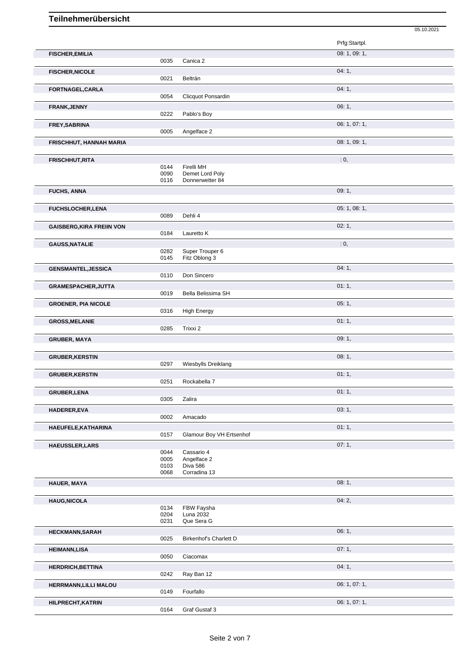|                                  |      |                          | 05.10.2021    |
|----------------------------------|------|--------------------------|---------------|
|                                  |      |                          | Prfg:Startpl. |
| <b>FISCHER, EMILIA</b>           |      |                          | 08: 1, 09: 1, |
|                                  | 0035 | Canica 2                 |               |
| <b>FISCHER, NICOLE</b>           |      |                          | 04:1,         |
|                                  | 0021 | Beltrán                  |               |
| FORTNAGEL, CARLA                 |      |                          | 04:1,         |
|                                  | 0054 | Clicquot Ponsardin       |               |
| FRANK, JENNY                     |      |                          | 06:1,         |
|                                  | 0222 | Pablo's Boy              |               |
| FREY, SABRINA                    |      |                          | 06: 1, 07: 1, |
|                                  | 0005 | Angelface 2              |               |
| FRISCHHUT, HANNAH MARIA          |      |                          | 08: 1, 09: 1, |
|                                  |      |                          |               |
| <b>FRISCHHUT, RITA</b>           |      |                          | : 0,          |
|                                  | 0144 | Firelli MH               |               |
|                                  | 0090 | Demet Lord Poly          |               |
|                                  | 0116 | Donnerwetter 84          |               |
| <b>FUCHS, ANNA</b>               |      |                          | 09:1,         |
|                                  |      |                          |               |
|                                  |      |                          | 05: 1, 08: 1, |
| FUCHSLOCHER, LENA                | 0089 | Dehli 4                  |               |
|                                  |      |                          |               |
| <b>GAISBERG, KIRA FREIIN VON</b> |      |                          | 02:1,         |
|                                  | 0184 | Lauretto K               |               |
| <b>GAUSS, NATALIE</b>            |      |                          | : 0,          |
|                                  | 0282 | Super Trouper 6          |               |
|                                  | 0145 | Fitz Oblong 3            |               |
| <b>GENSMANTEL, JESSICA</b>       |      |                          | 04:1,         |
|                                  | 0110 | Don Sincero              |               |
| GRAMESPACHER, JUTTA              |      |                          | 01:1,         |
|                                  | 0019 | Bella Belissima SH       |               |
| <b>GROENER, PIA NICOLE</b>       |      |                          | 05:1,         |
|                                  | 0316 | <b>High Energy</b>       |               |
|                                  |      |                          |               |
| <b>GROSS, MELANIE</b>            | 0285 | Trixxi 2                 | 01:1,         |
|                                  |      |                          |               |
| <b>GRUBER, MAYA</b>              |      |                          | 09:1,         |
|                                  |      |                          |               |
| <b>GRUBER, KERSTIN</b>           |      |                          | 08:1,         |
|                                  | 0297 | Wiesbylls Dreiklang      |               |
| <b>GRUBER, KERSTIN</b>           |      |                          | 01:1,         |
|                                  | 0251 | Rockabella 7             |               |
| <b>GRUBER,LENA</b>               |      |                          | 01:1,         |
|                                  | 0305 | Zalira                   |               |
|                                  |      |                          |               |
| <b>HADERER,EVA</b>               | 0002 | Amacado                  | 03:1,         |
|                                  |      |                          |               |
| HAEUFELE, KATHARINA              |      |                          | 01:1,         |
|                                  | 0157 | Glamour Boy VH Ertsenhof |               |
| <b>HAEUSSLER, LARS</b>           |      |                          | 07:1,         |
|                                  | 0044 | Cassario 4               |               |
|                                  | 0005 | Angelface 2              |               |
|                                  | 0103 | Diva 586                 |               |
|                                  | 0068 | Corradina 13             |               |
| HAUER, MAYA                      |      |                          | 08:1,         |
|                                  |      |                          |               |
| <b>HAUG, NICOLA</b>              |      |                          | 04:2,         |
|                                  | 0134 | FBW Faysha               |               |
|                                  | 0204 | Luna 2032                |               |
|                                  | 0231 | Que Sera G               |               |
| <b>HECKMANN,SARAH</b>            |      |                          | 06:1,         |
|                                  | 0025 | Birkenhof's Charlett D   |               |

**HERRMANN,LILLI MALOU** 0149 **Fourfallo DESIGNAL CONSUMING CONSUMING CONSUMING CONSUMING CONSUMING CONSUMING CONSUMING CONSUMING CONSUMING CONSUMING CONSUMING CONSUMING CONSUMING CONSUMING CONSUMING CONSUMING CONSUMING CO** Fourfallo

**HILPRECHT, KATRIN** 06: 1, 07: 1, 06: 1, 07: 1, 06: 1, 07: 1, 06: 1, 07: 1, 06: 1, 07: 1, 06: 1, 07: 1, 07: 1, Graf Gustaf 3

**HEIMANN,LISA** 07: 1, Ciacomax **HERDRICH, BETTINA** 0242 Ray Ban 12 04: 1, Ray Ban 12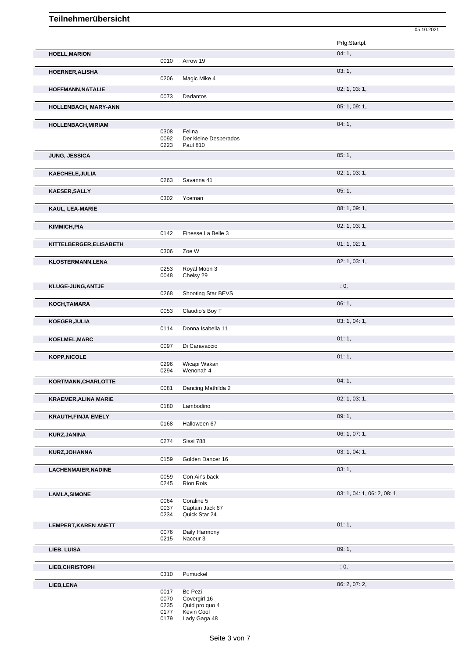|                             |                      |                                                    | 05.10.2021                  |
|-----------------------------|----------------------|----------------------------------------------------|-----------------------------|
|                             |                      |                                                    | Prfg:Startpl.               |
| <b>HOELL, MARION</b>        |                      |                                                    | 04:1,                       |
|                             | 0010                 | Arrow 19                                           |                             |
| HOERNER, ALISHA             | 0206                 | Magic Mike 4                                       | 03:1,                       |
| HOFFMANN, NATALIE           | 0073                 | Dadantos                                           | 02: 1, 03: 1,               |
| HOLLENBACH, MARY-ANN        |                      |                                                    | 05: 1, 09: 1,               |
| HOLLENBACH, MIRIAM          |                      |                                                    | 04:1,                       |
|                             | 0308<br>0092<br>0223 | Felina<br>Der kleine Desperados<br><b>Paul 810</b> |                             |
| JUNG, JESSICA               |                      |                                                    | 05:1,                       |
| KAECHELE, JULIA             |                      |                                                    | 02: 1, 03: 1,               |
|                             | 0263                 | Savanna 41                                         |                             |
| <b>KAESER, SALLY</b>        | 0302                 |                                                    | 05:1,                       |
| KAUL, LEA-MARIE             |                      | Yceman                                             | 08: 1, 09: 1,               |
|                             |                      |                                                    |                             |
| KIMMICH, PIA                |                      |                                                    | 02: 1, 03: 1,               |
|                             | 0142                 | Finesse La Belle 3                                 |                             |
| KITTELBERGER, ELISABETH     | 0306                 | Zoe W                                              | 01: 1, 02: 1,               |
| <b>KLOSTERMANN,LENA</b>     |                      |                                                    | 02: 1, 03: 1,               |
|                             | 0253<br>0048         | Royal Moon 3<br>Chelsy 29                          |                             |
| KLUGE-JUNG, ANTJE           |                      |                                                    | : 0,                        |
|                             | 0268                 | Shooting Star BEVS                                 |                             |
| KOCH, TAMARA                |                      |                                                    | 06:1,                       |
|                             | 0053                 | Claudio's Boy T                                    | 03: 1, 04: 1,               |
| KOEGER, JULIA               | 0114                 | Donna Isabella 11                                  |                             |
| KOELMEL, MARC               |                      |                                                    | 01:1,                       |
|                             | 0097                 | Di Caravaccio                                      |                             |
| <b>KOPP, NICOLE</b>         | 0296<br>0294         | Wicapi Wakan<br>Wenonah 4                          | 01:1,                       |
| KORTMANN, CHARLOTTE         |                      |                                                    | 04:1,                       |
|                             | 0081                 | Dancing Mathilda 2                                 |                             |
| <b>KRAEMER, ALINA MARIE</b> | 0180                 | Lambodino                                          | 02: 1, 03: 1,               |
| <b>KRAUTH, FINJA EMELY</b>  |                      |                                                    | 09:1,                       |
|                             | 0168                 | Halloween 67                                       |                             |
| KURZ, JANINA                |                      |                                                    | 06: 1, 07: 1,               |
|                             | 0274                 | Sissi 788                                          | 03: 1, 04: 1,               |
| KURZ, JOHANNA               | 0159                 | Golden Dancer 16                                   |                             |
| LACHENMAIER, NADINE         |                      |                                                    | 03:1,                       |
|                             | 0059<br>0245         | Con Air's back<br>Rion Rois                        |                             |
| <b>LAMLA, SIMONE</b>        |                      |                                                    | 03: 1, 04: 1, 06: 2, 08: 1, |
|                             | 0064                 | Coraline 5                                         |                             |
|                             | 0037<br>0234         | Captain Jack 67<br>Quick Star 24                   |                             |
| <b>LEMPERT, KAREN ANETT</b> |                      |                                                    | 01:1,                       |
|                             | 0076<br>0215         | Daily Harmony<br>Naceur 3                          |                             |
| LIEB, LUISA                 |                      |                                                    | 09:1,                       |
|                             |                      |                                                    |                             |
| LIEB, CHRISTOPH             | 0310                 | Pumuckel                                           | : 0,                        |
|                             |                      |                                                    | 06: 2, 07: 2,               |
| LIEB, LENA                  | 0017                 | Be Pezi                                            |                             |
|                             | 0070                 | Covergirl 16                                       |                             |
|                             | 0235<br>0177         | Quid pro quo 4<br>Kevin Cool                       |                             |
|                             | 0179                 | Lady Gaga 48                                       |                             |
|                             |                      |                                                    |                             |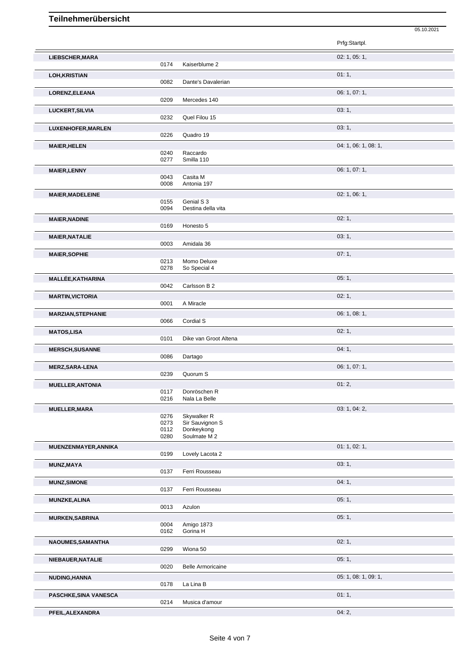|                           |              |                               | Prfg:Startpl.        |
|---------------------------|--------------|-------------------------------|----------------------|
| LIEBSCHER, MARA           |              |                               | 02: 1, 05: 1,        |
|                           | 0174         | Kaiserblume 2                 |                      |
| <b>LOH, KRISTIAN</b>      |              |                               | 01:1,                |
|                           | 0082         | Dante's Davalerian            |                      |
| LORENZ, ELEANA            |              |                               | 06: 1, 07: 1,        |
|                           | 0209         | Mercedes 140                  |                      |
| LUCKERT, SILVIA           |              |                               | 03:1,                |
|                           | 0232         | Quel Filou 15                 |                      |
| LUXENHOFER, MARLEN        |              |                               | 03:1,                |
|                           | 0226         | Quadro 19                     |                      |
| <b>MAIER, HELEN</b>       | 0240         | Raccardo                      | 04: 1, 06: 1, 08: 1, |
|                           | 0277         | Smilla 110                    |                      |
| <b>MAIER, LENNY</b>       |              |                               | 06: 1, 07: 1,        |
|                           | 0043         | Casita M                      |                      |
|                           | 0008         | Antonia 197                   |                      |
| <b>MAIER, MADELEINE</b>   | 0155         | Genial S 3                    | 02: 1, 06: 1,        |
|                           | 0094         | Destina della vita            |                      |
| <b>MAIER, NADINE</b>      |              |                               | 02:1,                |
|                           | 0169         | Honesto 5                     |                      |
| <b>MAIER, NATALIE</b>     |              |                               | 03:1,                |
|                           | 0003         | Amidala 36                    |                      |
| <b>MAIER, SOPHIE</b>      |              |                               | 07:1,                |
|                           | 0213<br>0278 | Momo Deluxe<br>So Special 4   |                      |
| <b>MALLÉE, KATHARINA</b>  |              |                               | 05:1,                |
|                           | 0042         | Carlsson B 2                  |                      |
| <b>MARTIN, VICTORIA</b>   |              |                               | 02:1,                |
|                           | 0001         | A Miracle                     |                      |
| <b>MARZIAN, STEPHANIE</b> |              |                               | 06: 1, 08: 1,        |
|                           | 0066         | Cordial S                     |                      |
| <b>MATOS,LISA</b>         | 0101         | Dike van Groot Altena         | 02:1,                |
| <b>MERSCH, SUSANNE</b>    |              |                               | 04:1,                |
|                           | 0086         | Dartago                       |                      |
| <b>MERZ, SARA-LENA</b>    |              |                               | 06: 1, 07: 1,        |
|                           | 0239         | Quorum S                      |                      |
| <b>MUELLER, ANTONIA</b>   |              |                               | 01:2,                |
|                           | 0117<br>0216 | Donröschen R<br>Nala La Belle |                      |
| <b>MUELLER, MARA</b>      |              |                               | 03: 1, 04: 2,        |
|                           | 0276         | Skywalker R                   |                      |
|                           | 0273         | Sir Sauvignon S               |                      |
|                           | 0112<br>0280 | Donkeykong<br>Soulmate M 2    |                      |
| MUENZENMAYER, ANNIKA      |              |                               | 01: 1, 02: 1,        |
|                           | 0199         | Lovely Lacota 2               |                      |
| MUNZ, MAYA                |              |                               | 03:1,                |
|                           | 0137         | Ferri Rousseau                |                      |
| <b>MUNZ, SIMONE</b>       |              |                               | 04:1,                |
|                           | 0137         | Ferri Rousseau                |                      |
| <b>MUNZKE, ALINA</b>      | 0013         | Azulon                        | 05:1,                |
| <b>MURKEN, SABRINA</b>    |              |                               | 05:1,                |
|                           | 0004         | Amigo 1873                    |                      |
|                           | 0162         | Gorina H                      |                      |
| NAOUMES, SAMANTHA         |              |                               | 02:1,                |
|                           | 0299         | Wiona 50                      |                      |
| NIEBAUER, NATALIE         |              |                               | 05:1,                |
|                           | 0020         | <b>Belle Armoricaine</b>      |                      |
| NUDING, HANNA             | 0178         | La Lina B                     | 05: 1, 08: 1, 09: 1, |
| PASCHKE, SINA VANESCA     |              |                               | 01:1,                |
|                           | 0214         | Musica d'amour                |                      |

05.10.2021

**PFEIL,ALEXANDRA** 04: 2,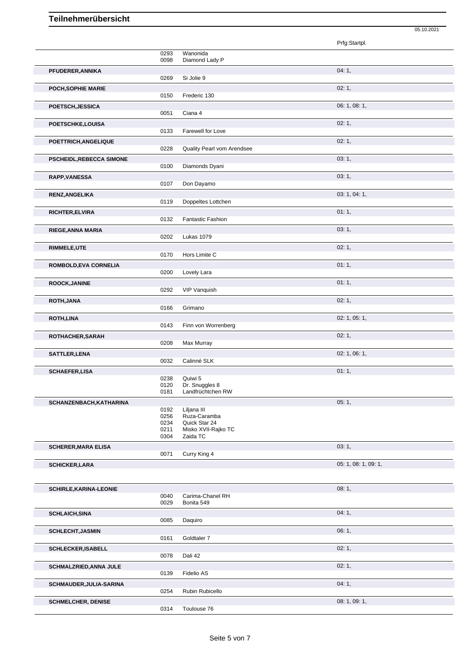|                                |                                      |                                                                  | Prfg:Startpl.        |
|--------------------------------|--------------------------------------|------------------------------------------------------------------|----------------------|
|                                | 0293<br>0098                         | Wanonida<br>Diamond Lady P                                       |                      |
| PFUDERER, ANNIKA               | 0269                                 | Si Jolie 9                                                       | 04:1,                |
| POCH, SOPHIE MARIE             | 0150                                 | Frederic 130                                                     | 02:1,                |
| POETSCH, JESSICA               | 0051                                 | Ciana 4                                                          | 06: 1, 08: 1,        |
| POETSCHKE,LOUISA               | 0133                                 | Farewell for Love                                                | 02:1,                |
| POETTRICH, ANGELIQUE           | 0228                                 | Quality Pearl vom Arendsee                                       | 02:1,                |
| <b>PSCHEIDL,REBECCA SIMONE</b> | 0100                                 | Diamonds Dyani                                                   | 03:1,                |
| <b>RAPP, VANESSA</b>           |                                      |                                                                  | 03:1,                |
|                                | 0107                                 | Don Dayamo                                                       | 03: 1, 04: 1,        |
| RENZ, ANGELIKA                 | 0119                                 | Doppeltes Lottchen                                               |                      |
| <b>RICHTER, ELVIRA</b>         | 0132                                 | <b>Fantastic Fashion</b>                                         | 01:1,                |
| RIEGE, ANNA MARIA              | 0202                                 | Lukas 1079                                                       | 03:1,                |
| RIMMELE, UTE                   | 0170                                 | Hors Limite C                                                    | 02:1,                |
| ROMBOLD, EVA CORNELIA          | 0200                                 | Lovely Lara                                                      | 01:1,                |
| ROOCK, JANINE                  | 0292                                 | VIP Vanquish                                                     | 01:1,                |
| ROTH, JANA                     |                                      |                                                                  | 02:1,                |
| <b>ROTH,LINA</b>               | 0166                                 | Grimano                                                          | 02: 1, 05: 1,        |
|                                | 0143                                 | Finn von Worrenberg                                              |                      |
| ROTHACHER, SARAH               | 0208                                 | Max Murray                                                       | 02:1,                |
| SATTLER, LENA                  | 0032                                 | Calinné SLK                                                      | 02: 1, 06: 1,        |
| <b>SCHAEFER,LISA</b>           |                                      |                                                                  | 01:1,                |
|                                | 0238<br>0120<br>0181                 | Quiwi 5<br>Dr. Snuggles 8<br>Landfrüchtchen RW                   |                      |
| SCHANZENBACH, KATHARINA        |                                      | Liljana III                                                      | 05:1,                |
|                                | 0192<br>0256<br>0234<br>0211<br>0304 | Ruza-Caramba<br>Quick Star 24<br>Misko XVII-Rajko TC<br>Zaida TC |                      |
| <b>SCHERER, MARA ELISA</b>     |                                      |                                                                  | 03:1,                |
| <b>SCHICKER,LARA</b>           | 0071                                 | Curry King 4                                                     |                      |
|                                |                                      |                                                                  | 05: 1, 08: 1, 09: 1, |
| <b>SCHIRLE, KARINA-LEONIE</b>  |                                      |                                                                  | 08:1,                |
|                                | 0040<br>0029                         | Carima-Chanel RH<br>Bonita 549                                   |                      |
| <b>SCHLAICH, SINA</b>          | 0085                                 | Daquiro                                                          | 04:1,                |
| <b>SCHLECHT, JASMIN</b>        | 0161                                 | Goldtaler 7                                                      | 06:1,                |
| <b>SCHLECKER, ISABELL</b>      | 0078                                 | Dali 42                                                          | 02:1,                |
| SCHMALZRIED, ANNA JULE         |                                      |                                                                  | 02:1,                |
| SCHMAUDER, JULIA-SARINA        | 0139<br>0254                         | Fidelio AS<br>Rubin Rubicello                                    | 04:1,                |

05.10.2021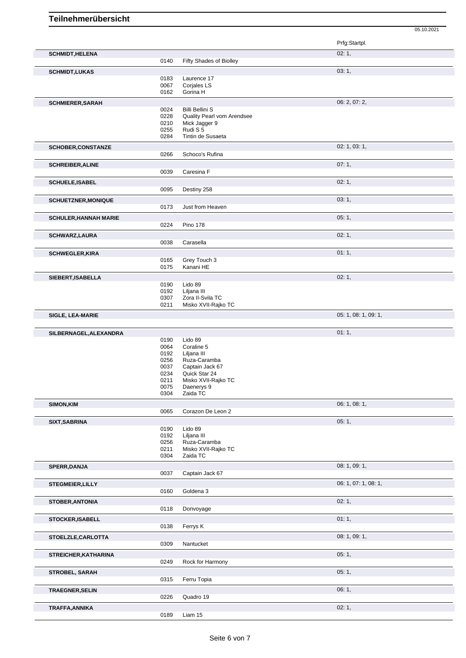|                              |              |                                             | Prfg:Startpl.        |
|------------------------------|--------------|---------------------------------------------|----------------------|
| <b>SCHMIDT, HELENA</b>       |              |                                             | 02:1,                |
|                              | 0140         | Fifty Shades of Biolley                     |                      |
| <b>SCHMIDT,LUKAS</b>         |              |                                             | 03:1,                |
|                              | 0183<br>0067 | Laurence 17<br>Corjales LS                  |                      |
|                              | 0162         | Gorina H                                    |                      |
| <b>SCHMIERER, SARAH</b>      |              |                                             | 06: 2, 07: 2,        |
|                              | 0024         | <b>Billi Bellini S</b>                      |                      |
|                              | 0228<br>0210 | Quality Pearl vom Arendsee<br>Mick Jagger 9 |                      |
|                              | 0255         | Rudi S 5                                    |                      |
|                              | 0284         | Tintin de Susaeta                           |                      |
| <b>SCHOBER,CONSTANZE</b>     |              |                                             | 02: 1, 03: 1,        |
|                              | 0266         | Schoco's Rufina                             |                      |
| <b>SCHREIBER, ALINE</b>      |              |                                             | 07:1,                |
|                              | 0039         | Caresina F                                  |                      |
| <b>SCHUELE, ISABEL</b>       |              |                                             | 02:1,                |
|                              | 0095         | Destiny 258                                 |                      |
| <b>SCHUETZNER, MONIQUE</b>   |              |                                             | 03:1,                |
|                              | 0173         | Just from Heaven                            |                      |
| <b>SCHULER, HANNAH MARIE</b> | 0224         | <b>Pino 178</b>                             | 05:1,                |
|                              |              |                                             |                      |
| SCHWARZ, LAURA               | 0038         | Carasella                                   | 02:1,                |
|                              |              |                                             |                      |
| <b>SCHWEGLER, KIRA</b>       | 0165         | Grey Touch 3                                | 01:1,                |
|                              | 0175         | Kanani HE                                   |                      |
| SIEBERT, ISABELLA            |              |                                             | 02:1,                |
|                              | 0190         | Lido 89                                     |                      |
|                              | 0192<br>0307 | Liljana III<br>Zora II-Svila TC             |                      |
|                              | 0211         | Misko XVII-Rajko TC                         |                      |
| SIGLE, LEA-MARIE             |              |                                             | 05: 1, 08: 1, 09: 1, |
|                              |              |                                             |                      |
|                              |              |                                             |                      |
| SILBERNAGEL, ALEXANDRA       |              |                                             | 01:1,                |
|                              | 0190         | Lido 89                                     |                      |
|                              | 0064<br>0192 | Coraline 5                                  |                      |
|                              | 0256         | Liljana III<br>Ruza-Caramba                 |                      |
|                              | 0037         | Captain Jack 67                             |                      |
|                              | 0234<br>0211 | Quick Star 24<br>Misko XVII-Rajko TC        |                      |
|                              | 0075         | Daenerys 9                                  |                      |
|                              | 0304         | Zaida TC                                    |                      |
| SIMON, KIM                   |              |                                             | 06: 1, 08: 1,        |
|                              | 0065         | Corazon De Leon 2                           |                      |
| SIXT, SABRINA                |              |                                             | 05:1,                |
|                              | 0190<br>0192 | Lido 89<br>Liljana III                      |                      |
|                              | 0256         | Ruza-Caramba                                |                      |
|                              | 0211<br>0304 | Misko XVII-Rajko TC<br>Zaida TC             |                      |
|                              |              |                                             | 08: 1, 09: 1,        |
| SPERR, DANJA                 | 0037         | Captain Jack 67                             |                      |
| <b>STEGMEIER, LILLY</b>      |              |                                             | 06: 1, 07: 1, 08: 1, |
|                              | 0160         | Goldena 3                                   |                      |
| <b>STOBER, ANTONIA</b>       |              |                                             | 02:1,                |
|                              | 0118         | Donvoyage                                   |                      |
| <b>STOCKER, ISABELL</b>      |              |                                             | 01:1,                |
|                              | 0138         | Ferrys K                                    |                      |
| STOELZLE, CARLOTTA           |              |                                             | 08: 1, 09: 1,        |
|                              | 0309         | Nantucket                                   |                      |
| STREICHER, KATHARINA         |              |                                             | 05:1,                |
|                              | 0249         | Rock for Harmony                            |                      |
| STROBEL, SARAH               |              |                                             | 05:1,                |
|                              | 0315         | Ferru Topia                                 |                      |
| <b>TRAEGNER, SELIN</b>       |              |                                             | 06:1,                |
| TRAFFA, ANNIKA               | 0226         | Quadro 19                                   | 02:1,                |

05.10.2021